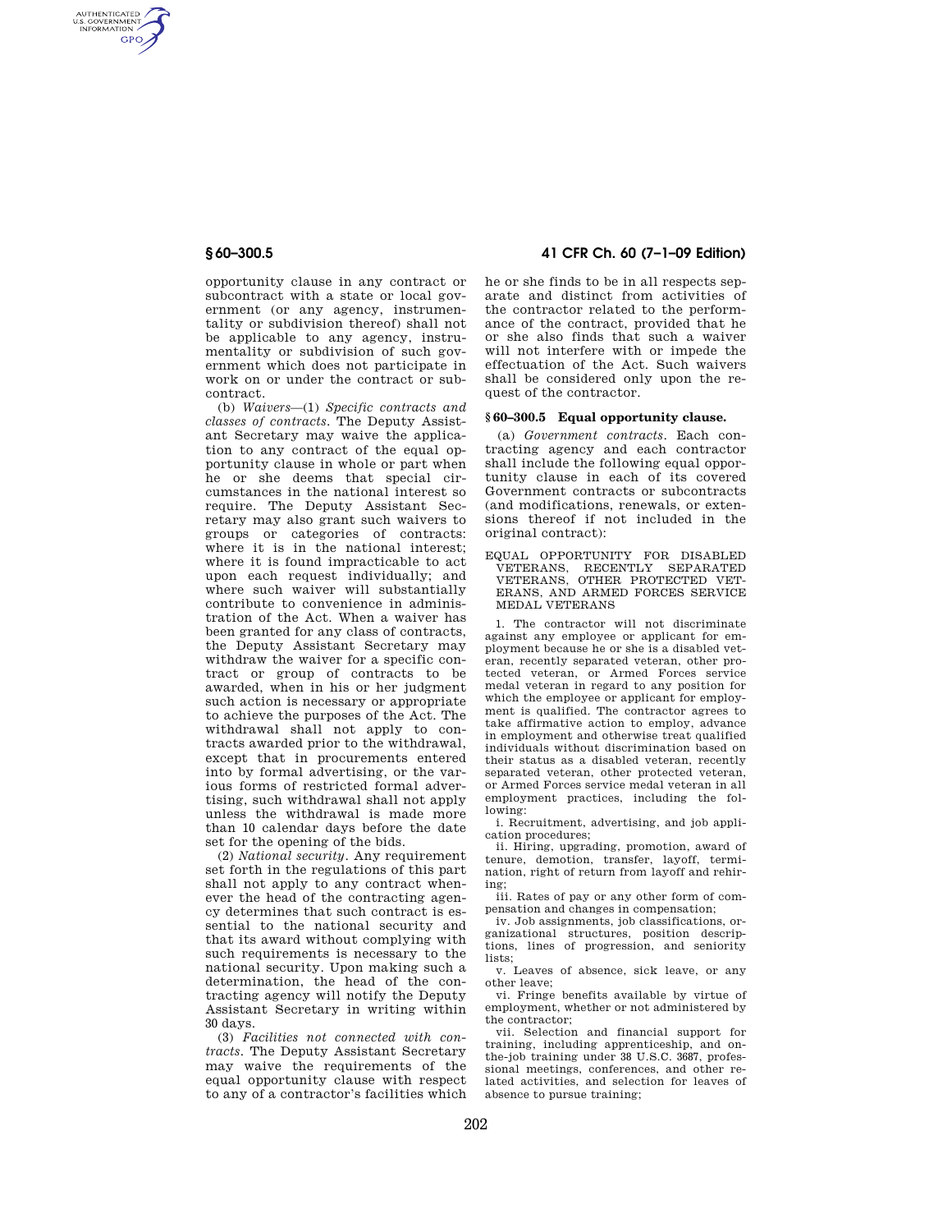AUTHENTICATED<br>U.S. GOVERNMENT<br>INFORMATION **GPO** 

> opportunity clause in any contract or subcontract with a state or local government (or any agency, instrumentality or subdivision thereof) shall not be applicable to any agency, instrumentality or subdivision of such government which does not participate in work on or under the contract or subcontract.

> (b) *Waivers*—(1) *Specific contracts and classes of contracts*. The Deputy Assistant Secretary may waive the application to any contract of the equal opportunity clause in whole or part when he or she deems that special circumstances in the national interest so require. The Deputy Assistant Secretary may also grant such waivers to groups or categories of contracts: where it is in the national interest: where it is found impracticable to act upon each request individually; and where such waiver will substantially contribute to convenience in administration of the Act. When a waiver has been granted for any class of contracts, the Deputy Assistant Secretary may withdraw the waiver for a specific contract or group of contracts to be awarded, when in his or her judgment such action is necessary or appropriate to achieve the purposes of the Act. The withdrawal shall not apply to contracts awarded prior to the withdrawal, except that in procurements entered into by formal advertising, or the various forms of restricted formal advertising, such withdrawal shall not apply unless the withdrawal is made more than 10 calendar days before the date set for the opening of the bids.

> (2) *National security*. Any requirement set forth in the regulations of this part shall not apply to any contract whenever the head of the contracting agency determines that such contract is essential to the national security and that its award without complying with such requirements is necessary to the national security. Upon making such a determination, the head of the contracting agency will notify the Deputy Assistant Secretary in writing within 30 days.

> (3) *Facilities not connected with contracts*. The Deputy Assistant Secretary may waive the requirements of the equal opportunity clause with respect to any of a contractor's facilities which

# **§ 60–300.5 41 CFR Ch. 60 (7–1–09 Edition)**

he or she finds to be in all respects separate and distinct from activities of the contractor related to the performance of the contract, provided that he or she also finds that such a waiver will not interfere with or impede the effectuation of the Act. Such waivers shall be considered only upon the request of the contractor.

### **§ 60–300.5 Equal opportunity clause.**

(a) *Government contracts*. Each contracting agency and each contractor shall include the following equal opportunity clause in each of its covered Government contracts or subcontracts (and modifications, renewals, or extensions thereof if not included in the original contract):

EQUAL OPPORTUNITY FOR DISABLED VETERANS, RECENTLY SEPARATED VETERANS, OTHER PROTECTED VET-ERANS, AND ARMED FORCES SERVICE MEDAL VETERANS

1. The contractor will not discriminate against any employee or applicant for employment because he or she is a disabled veteran, recently separated veteran, other protected veteran, or Armed Forces service medal veteran in regard to any position for which the employee or applicant for employment is qualified. The contractor agrees to take affirmative action to employ, advance in employment and otherwise treat qualified individuals without discrimination based on their status as a disabled veteran, recently separated veteran, other protected veteran, or Armed Forces service medal veteran in all employment practices, including the following:

i. Recruitment, advertising, and job application procedures;

ii. Hiring, upgrading, promotion, award of tenure, demotion, transfer, layoff, termination, right of return from layoff and rehiring;

iii. Rates of pay or any other form of compensation and changes in compensation;

iv. Job assignments, job classifications, organizational structures, position descriptions, lines of progression, and seniority lists;

v. Leaves of absence, sick leave, or any other leave;

vi. Fringe benefits available by virtue of employment, whether or not administered by the contractor;

vii. Selection and financial support for training, including apprenticeship, and onthe-job training under 38 U.S.C. 3687, professional meetings, conferences, and other related activities, and selection for leaves of absence to pursue training;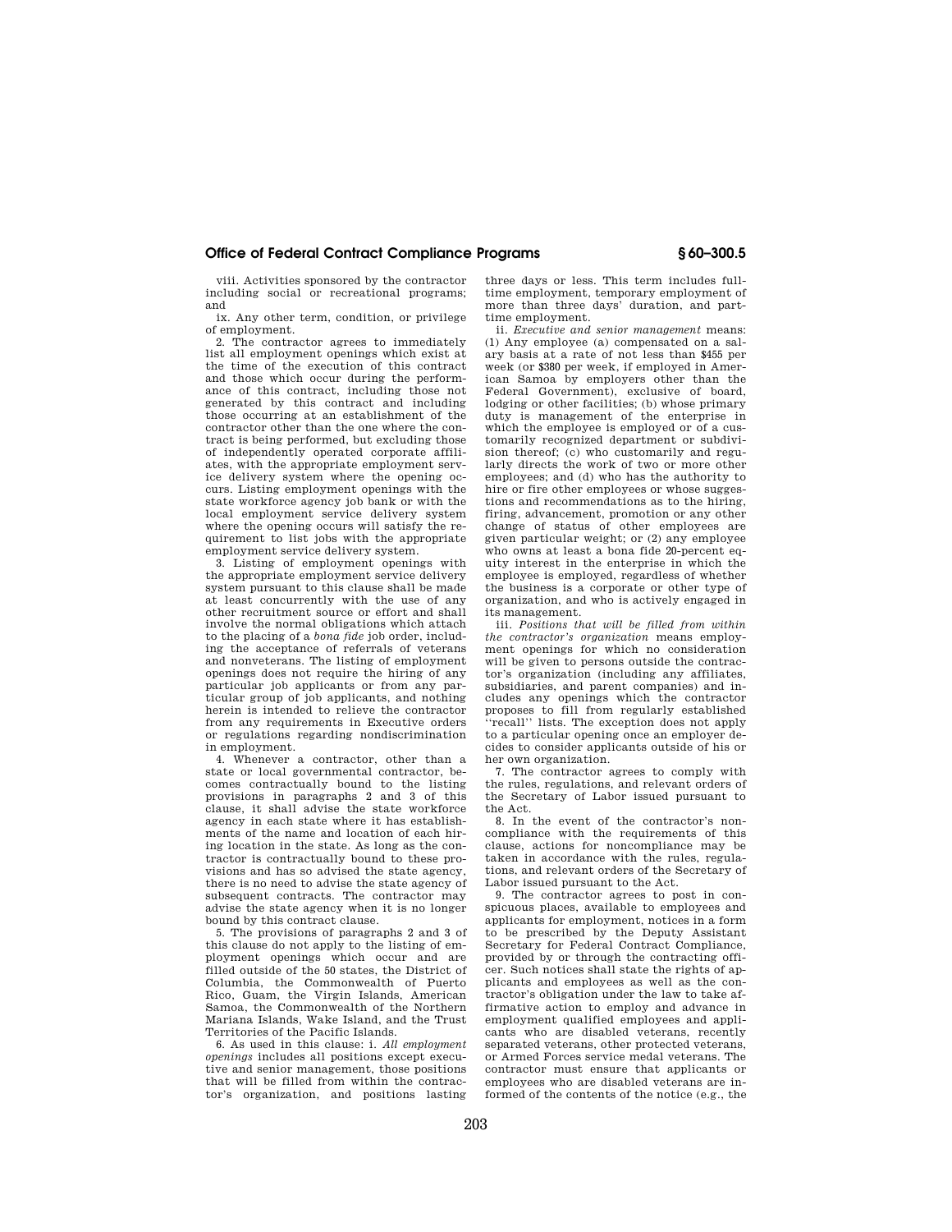## **Office of Federal Contract Compliance Programs § 60–300.5**

viii. Activities sponsored by the contractor including social or recreational programs; and

ix. Any other term, condition, or privilege of employment.

2. The contractor agrees to immediately list all employment openings which exist at the time of the execution of this contract and those which occur during the performance of this contract, including those not generated by this contract and including those occurring at an establishment of the contractor other than the one where the contract is being performed, but excluding those of independently operated corporate affiliates, with the appropriate employment service delivery system where the opening occurs. Listing employment openings with the state workforce agency job bank or with the local employment service delivery system where the opening occurs will satisfy the requirement to list jobs with the appropriate employment service delivery system.

3. Listing of employment openings with the appropriate employment service delivery system pursuant to this clause shall be made at least concurrently with the use of any other recruitment source or effort and shall involve the normal obligations which attach to the placing of a *bona fide* job order, including the acceptance of referrals of veterans and nonveterans. The listing of employment openings does not require the hiring of any particular job applicants or from any particular group of job applicants, and nothing herein is intended to relieve the contractor from any requirements in Executive orders or regulations regarding nondiscrimination in employment.

4. Whenever a contractor, other than a state or local governmental contractor, becomes contractually bound to the listing provisions in paragraphs 2 and 3 of this clause, it shall advise the state workforce agency in each state where it has establishments of the name and location of each hiring location in the state. As long as the contractor is contractually bound to these provisions and has so advised the state agency, there is no need to advise the state agency of subsequent contracts. The contractor may advise the state agency when it is no longer bound by this contract clause.

5. The provisions of paragraphs 2 and 3 of this clause do not apply to the listing of employment openings which occur and are filled outside of the 50 states, the District of Columbia, the Commonwealth of Puerto Rico, Guam, the Virgin Islands, American Samoa, the Commonwealth of the Northern Mariana Islands, Wake Island, and the Trust Territories of the Pacific Islands.

6. As used in this clause: i. *All employment openings* includes all positions except executive and senior management, those positions that will be filled from within the contractor's organization, and positions lasting three days or less. This term includes fulltime employment, temporary employment of more than three days' duration, and parttime employment.

ii. *Executive and senior management* means: (1) Any employee (a) compensated on a salary basis at a rate of not less than \$455 per week (or \$380 per week, if employed in American Samoa by employers other than the Federal Government), exclusive of board, lodging or other facilities; (b) whose primary duty is management of the enterprise in which the employee is employed or of a customarily recognized department or subdivision thereof; (c) who customarily and regularly directs the work of two or more other employees; and (d) who has the authority to hire or fire other employees or whose suggestions and recommendations as to the hiring, firing, advancement, promotion or any other change of status of other employees are given particular weight; or (2) any employee who owns at least a bona fide 20-percent equity interest in the enterprise in which the employee is employed, regardless of whether the business is a corporate or other type of organization, and who is actively engaged in its management.

iii. *Positions that will be filled from within the contractor's organization* means employment openings for which no consideration will be given to persons outside the contractor's organization (including any affiliates, subsidiaries, and parent companies) and includes any openings which the contractor proposes to fill from regularly established 'recall'' lists. The exception does not apply to a particular opening once an employer decides to consider applicants outside of his or her own organization.

7. The contractor agrees to comply with the rules, regulations, and relevant orders of the Secretary of Labor issued pursuant to the Act.

8. In the event of the contractor's noncompliance with the requirements of this clause, actions for noncompliance may be taken in accordance with the rules, regulations, and relevant orders of the Secretary of Labor issued pursuant to the Act.

9. The contractor agrees to post in conspicuous places, available to employees and applicants for employment, notices in a form to be prescribed by the Deputy Assistant Secretary for Federal Contract Compliance, provided by or through the contracting officer. Such notices shall state the rights of applicants and employees as well as the contractor's obligation under the law to take affirmative action to employ and advance in employment qualified employees and applicants who are disabled veterans, recently separated veterans, other protected veterans, or Armed Forces service medal veterans. The contractor must ensure that applicants or employees who are disabled veterans are informed of the contents of the notice (e.g., the